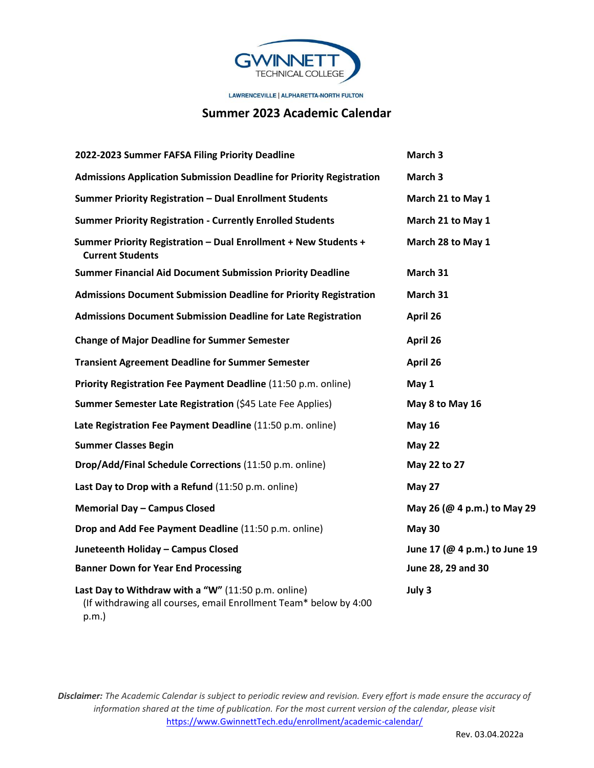

LAWRENCEVILLE | ALPHARETTA-NORTH FULTON

## **Summer 2023 Academic Calendar**

| 2022-2023 Summer FAFSA Filing Priority Deadline                                                                                      | March 3                       |
|--------------------------------------------------------------------------------------------------------------------------------------|-------------------------------|
| <b>Admissions Application Submission Deadline for Priority Registration</b>                                                          | March 3                       |
| Summer Priority Registration - Dual Enrollment Students                                                                              | March 21 to May 1             |
| <b>Summer Priority Registration - Currently Enrolled Students</b>                                                                    | March 21 to May 1             |
| Summer Priority Registration - Dual Enrollment + New Students +<br><b>Current Students</b>                                           | March 28 to May 1             |
| <b>Summer Financial Aid Document Submission Priority Deadline</b>                                                                    | March 31                      |
| <b>Admissions Document Submission Deadline for Priority Registration</b>                                                             | March 31                      |
| <b>Admissions Document Submission Deadline for Late Registration</b>                                                                 | April 26                      |
| <b>Change of Major Deadline for Summer Semester</b>                                                                                  | April 26                      |
| <b>Transient Agreement Deadline for Summer Semester</b>                                                                              | April 26                      |
| Priority Registration Fee Payment Deadline (11:50 p.m. online)                                                                       | May 1                         |
| Summer Semester Late Registration (\$45 Late Fee Applies)                                                                            | May 8 to May 16               |
| Late Registration Fee Payment Deadline (11:50 p.m. online)                                                                           | <b>May 16</b>                 |
| <b>Summer Classes Begin</b>                                                                                                          | <b>May 22</b>                 |
| Drop/Add/Final Schedule Corrections (11:50 p.m. online)                                                                              | May 22 to 27                  |
| Last Day to Drop with a Refund (11:50 p.m. online)                                                                                   | <b>May 27</b>                 |
| <b>Memorial Day - Campus Closed</b>                                                                                                  | May 26 (@ 4 p.m.) to May 29   |
| Drop and Add Fee Payment Deadline (11:50 p.m. online)                                                                                | <b>May 30</b>                 |
| Juneteenth Holiday - Campus Closed                                                                                                   | June 17 (@ 4 p.m.) to June 19 |
| <b>Banner Down for Year End Processing</b>                                                                                           | June 28, 29 and 30            |
| Last Day to Withdraw with a "W" (11:50 p.m. online)<br>(If withdrawing all courses, email Enrollment Team* below by 4:00<br>$p.m.$ ) | July 3                        |

*Disclaimer: The Academic Calendar is subject to periodic review and revision. Every effort is made ensure the accuracy of information shared at the time of publication. For the most current version of the calendar, please visit*  [https://www.GwinnettTech.edu/enrollment/academic-calendar/](https://www.gwinnetttech.edu/enrollment/academic-calendar/)